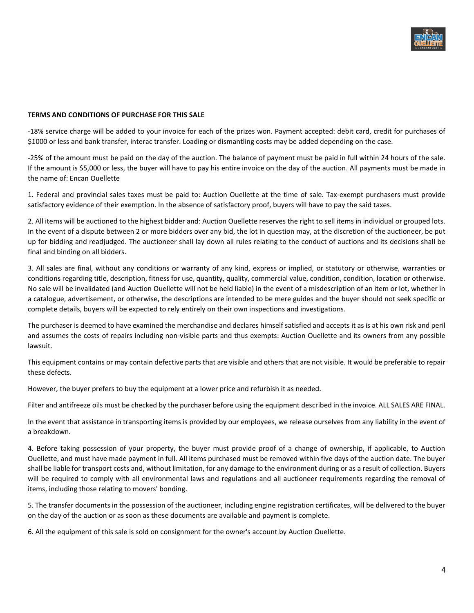

## TERMS AND CONDITIONS OF PURCHASE FOR THIS SALE

-18% service charge will be added to your invoice for each of the prizes won. Payment accepted: debit card, credit for purchases of \$1000 or less and bank transfer, interac transfer. Loading or dismantling costs may be added depending on the case.

-25% of the amount must be paid on the day of the auction. The balance of payment must be paid in full within 24 hours of the sale. If the amount is \$5,000 or less, the buyer will have to pay his entire invoice on the day of the auction. All payments must be made in the name of: Encan Ouellette

1. Federal and provincial sales taxes must be paid to: Auction Ouellette at the time of sale. Tax-exempt purchasers must provide satisfactory evidence of their exemption. In the absence of satisfactory proof, buyers will have to pay the said taxes.

2. All items will be auctioned to the highest bidder and: Auction Ouellette reserves the right to sell items in individual or grouped lots. In the event of a dispute between 2 or more bidders over any bid, the lot in question may, at the discretion of the auctioneer, be put up for bidding and readjudged. The auctioneer shall lay down all rules relating to the conduct of auctions and its decisions shall be final and binding on all bidders.

3. All sales are final, without any conditions or warranty of any kind, express or implied, or statutory or otherwise, warranties or conditions regarding title, description, fitness for use, quantity, quality, commercial value, condition, condition, location or otherwise. No sale will be invalidated (and Auction Ouellette will not be held liable) in the event of a misdescription of an item or lot, whether in a catalogue, advertisement, or otherwise, the descriptions are intended to be mere guides and the buyer should not seek specific or complete details, buyers will be expected to rely entirely on their own inspections and investigations.

The purchaser is deemed to have examined the merchandise and declares himself satisfied and accepts it as is at his own risk and peril and assumes the costs of repairs including non-visible parts and thus exempts: Auction Ouellette and its owners from any possible lawsuit.

This equipment contains or may contain defective parts that are visible and others that are not visible. It would be preferable to repair these defects.

However, the buyer prefers to buy the equipment at a lower price and refurbish it as needed.

Filter and antifreeze oils must be checked by the purchaser before using the equipment described in the invoice. ALL SALES ARE FINAL.

In the event that assistance in transporting items is provided by our employees, we release ourselves from any liability in the event of a breakdown.

4. Before taking possession of your property, the buyer must provide proof of a change of ownership, if applicable, to Auction Ouellette, and must have made payment in full. All items purchased must be removed within five days of the auction date. The buyer shall be liable for transport costs and, without limitation, for any damage to the environment during or as a result of collection. Buyers will be required to comply with all environmental laws and regulations and all auctioneer requirements regarding the removal of items, including those relating to movers' bonding.

5. The transfer documents in the possession of the auctioneer, including engine registration certificates, will be delivered to the buyer on the day of the auction or as soon as these documents are available and payment is complete.

6. All the equipment of this sale is sold on consignment for the owner's account by Auction Ouellette.